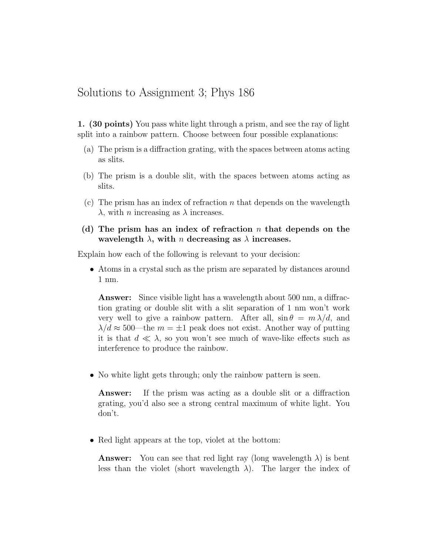## Solutions to Assignment 3; Phys 186

1. (30 points) You pass white light through a prism, and see the ray of light split into a rainbow pattern. Choose between four possible explanations:

- (a) The prism is a diffraction grating, with the spaces between atoms acting as slits.
- (b) The prism is a double slit, with the spaces between atoms acting as slits.
- (c) The prism has an index of refraction  $n$  that depends on the wavelength  $\lambda$ , with *n* increasing as  $\lambda$  increases.
- (d) The prism has an index of refraction  $n$  that depends on the wavelength  $\lambda$ , with n decreasing as  $\lambda$  increases.

Explain how each of the following is relevant to your decision:

• Atoms in a crystal such as the prism are separated by distances around 1 nm.

Answer: Since visible light has a wavelength about 500 nm, a diffraction grating or double slit with a slit separation of 1 nm won't work very well to give a rainbow pattern. After all,  $\sin \theta = m \lambda/d$ , and  $\lambda/d \approx 500$ —the  $m = \pm 1$  peak does not exist. Another way of putting it is that  $d \ll \lambda$ , so you won't see much of wave-like effects such as interference to produce the rainbow.

• No white light gets through; only the rainbow pattern is seen.

Answer: If the prism was acting as a double slit or a diffraction grating, you'd also see a strong central maximum of white light. You don't.

• Red light appears at the top, violet at the bottom:

**Answer:** You can see that red light ray (long wavelength  $\lambda$ ) is bent less than the violet (short wavelength  $\lambda$ ). The larger the index of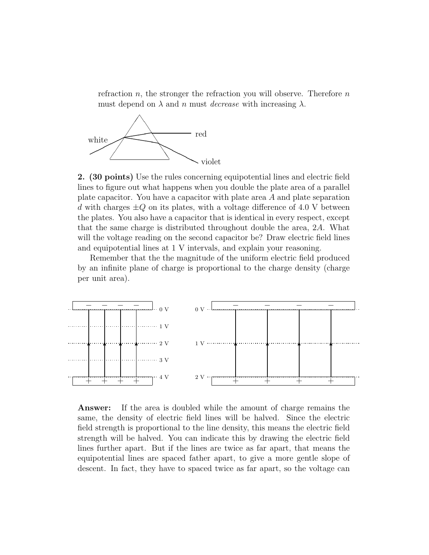refraction  $n$ , the stronger the refraction you will observe. Therefore  $n$ must depend on  $\lambda$  and n must *decrease* with increasing  $\lambda$ .



2. (30 points) Use the rules concerning equipotential lines and electric field lines to figure out what happens when you double the plate area of a parallel plate capacitor. You have a capacitor with plate area A and plate separation d with charges  $\pm Q$  on its plates, with a voltage difference of 4.0 V between the plates. You also have a capacitor that is identical in every respect, except that the same charge is distributed throughout double the area, 2A. What will the voltage reading on the second capacitor be? Draw electric field lines and equipotential lines at 1 V intervals, and explain your reasoning.

Remember that the the magnitude of the uniform electric field produced by an infinite plane of charge is proportional to the charge density (charge per unit area).



Answer: If the area is doubled while the amount of charge remains the same, the density of electric field lines will be halved. Since the electric field strength is proportional to the line density, this means the electric field strength will be halved. You can indicate this by drawing the electric field lines further apart. But if the lines are twice as far apart, that means the equipotential lines are spaced father apart, to give a more gentle slope of descent. In fact, they have to spaced twice as far apart, so the voltage can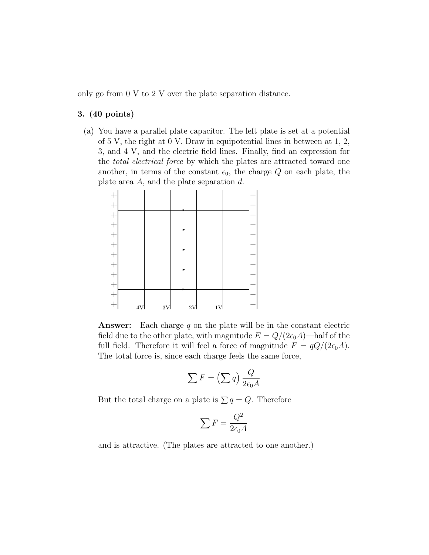only go from 0 V to 2 V over the plate separation distance.

## 3. (40 points)

(a) You have a parallel plate capacitor. The left plate is set at a potential of 5 V, the right at 0 V. Draw in equipotential lines in between at 1, 2, 3, and 4 V, and the electric field lines. Finally, find an expression for the total electrical force by which the plates are attracted toward one another, in terms of the constant  $\epsilon_0$ , the charge Q on each plate, the plate area  $A$ , and the plate separation  $d$ .



**Answer:** Each charge  $q$  on the plate will be in the constant electric field due to the other plate, with magnitude  $E = Q/(2\epsilon_0 A)$ —half of the full field. Therefore it will feel a force of magnitude  $F = \frac{qQ}{2\epsilon_0 A}$ . The total force is, since each charge feels the same force,

$$
\sum F = \left(\sum q\right) \frac{Q}{2\epsilon_0 A}
$$

But the total charge on a plate is  $\sum q = Q$ . Therefore

$$
\sum F = \frac{Q^2}{2\epsilon_0 A}
$$

and is attractive. (The plates are attracted to one another.)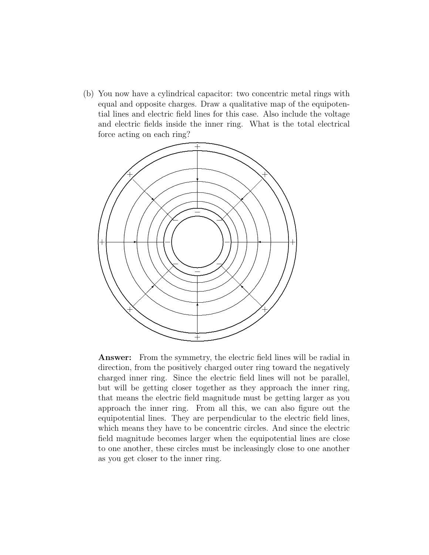(b) You now have a cylindrical capacitor: two concentric metal rings with equal and opposite charges. Draw a qualitative map of the equipotential lines and electric field lines for this case. Also include the voltage and electric fields inside the inner ring. What is the total electrical force acting on each ring?



Answer: From the symmetry, the electric field lines will be radial in direction, from the positively charged outer ring toward the negatively charged inner ring. Since the electric field lines will not be parallel, but will be getting closer together as they approach the inner ring, that means the electric field magnitude must be getting larger as you approach the inner ring. From all this, we can also figure out the equipotential lines. They are perpendicular to the electric field lines, which means they have to be concentric circles. And since the electric field magnitude becomes larger when the equipotential lines are close to one another, these circles must be incleasingly close to one another as you get closer to the inner ring.